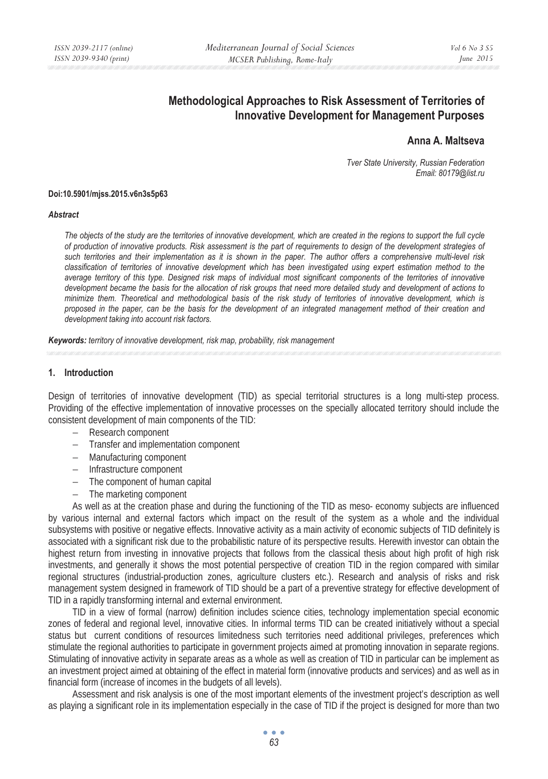# **Methodological Approaches to Risk Assessment of Territories of Innovative Development for Management Purposes**

## **Anna A. Maltseva**

*Tver State University, Russian Federation Email: 80179@list.ru* 

#### **Doi:10.5901/mjss.2015.v6n3s5p63**

#### *Abstract*

*The objects of the study are the territories of innovative development, which are created in the regions to support the full cycle of production of innovative products. Risk assessment is the part of requirements to design of the development strategies of such territories and their implementation as it is shown in the paper. The author offers a comprehensive multi-level risk classification of territories of innovative development which has been investigated using expert estimation method to the average territory of this type. Designed risk maps of individual most significant components of the territories of innovative development became the basis for the allocation of risk groups that need more detailed study and development of actions to minimize them. Theoretical and methodological basis of the risk study of territories of innovative development, which is proposed in the paper, can be the basis for the development of an integrated management method of their creation and development taking into account risk factors.* 

*Keywords: territory of innovative development, risk map, probability, risk management* 

#### **1. Introduction**

Design of territories of innovative development (TID) as special territorial structures is a long multi-step process. Providing of the effective implementation of innovative processes on the specially allocated territory should include the consistent development of main components of the TID:

- − Research component
- − Transfer and implementation component
- − Manufacturing component
- − Infrastructure component
- − The component of human capital
- − The marketing component

As well as at the creation phase and during the functioning of the TID as meso- economy subjects are influenced by various internal and external factors which impact on the result of the system as a whole and the individual subsystems with positive or negative effects. Innovative activity as a main activity of economic subjects of TID definitely is associated with a significant risk due to the probabilistic nature of its perspective results. Herewith investor can obtain the highest return from investing in innovative projects that follows from the classical thesis about high profit of high risk investments, and generally it shows the most potential perspective of creation TID in the region compared with similar regional structures (industrial-production zones, agriculture clusters etc.). Research and analysis of risks and risk management system designed in framework of TID should be a part of a preventive strategy for effective development of TID in a rapidly transforming internal and external environment.

TID in a view of formal (narrow) definition includes science cities, technology implementation special economic zones of federal and regional level, innovative cities. In informal terms TID can be created initiatively without a special status but current conditions of resources limitedness such territories need additional privileges, preferences which stimulate the regional authorities to participate in government projects aimed at promoting innovation in separate regions. Stimulating of innovative activity in separate areas as a whole as well as creation of TID in particular can be implement as an investment project aimed at obtaining of the effect in material form (innovative products and services) and as well as in financial form (increase of incomes in the budgets of all levels).

Assessment and risk analysis is one of the most important elements of the investment project's description as well as playing a significant role in its implementation especially in the case of TID if the project is designed for more than two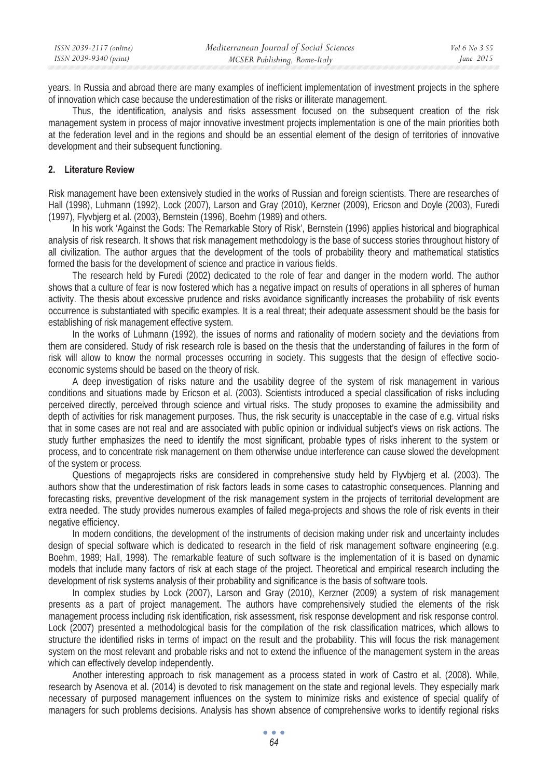years. In Russia and abroad there are many examples of inefficient implementation of investment projects in the sphere of innovation which case because the underestimation of the risks or illiterate management.

Thus, the identification, analysis and risks assessment focused on the subsequent creation of the risk management system in process of major innovative investment projects implementation is one of the main priorities both at the federation level and in the regions and should be an essential element of the design of territories of innovative development and their subsequent functioning.

#### **2. Literature Review**

Risk management have been extensively studied in the works of Russian and foreign scientists. There are researches of Hall (1998), Luhmann (1992), Lock (2007), Larson and Gray (2010), Kerzner (2009), Ericson and Doyle (2003), Furedi (1997), Flyvbjerg et al. (2003), Bernstein (1996), Boehm (1989) and others.

In his work 'Against the Gods: The Remarkable Story of Risk', Bernstein (1996) applies historical and biographical analysis of risk research. It shows that risk management methodology is the base of success stories throughout history of all civilization. The author argues that the development of the tools of probability theory and mathematical statistics formed the basis for the development of science and practice in various fields.

The research held by Furedi (2002) dedicated to the role of fear and danger in the modern world. The author shows that a culture of fear is now fostered which has a negative impact on results of operations in all spheres of human activity. The thesis about excessive prudence and risks avoidance significantly increases the probability of risk events occurrence is substantiated with specific examples. It is a real threat; their adequate assessment should be the basis for establishing of risk management effective system.

In the works of Luhmann (1992), the issues of norms and rationality of modern society and the deviations from them are considered. Study of risk research role is based on the thesis that the understanding of failures in the form of risk will allow to know the normal processes occurring in society. This suggests that the design of effective socioeconomic systems should be based on the theory of risk.

A deep investigation of risks nature and the usability degree of the system of risk management in various conditions and situations made by Ericson et al. (2003). Scientists introduced a special classification of risks including perceived directly, perceived through science and virtual risks. The study proposes to examine the admissibility and depth of activities for risk management purposes. Thus, the risk security is unacceptable in the case of e.g. virtual risks that in some cases are not real and are associated with public opinion or individual subject's views on risk actions. The study further emphasizes the need to identify the most significant, probable types of risks inherent to the system or process, and to concentrate risk management on them otherwise undue interference can cause slowed the development of the system or process.

Questions of megaprojects risks are considered in comprehensive study held by Flyvbjerg et al. (2003). The authors show that the underestimation of risk factors leads in some cases to catastrophic consequences. Planning and forecasting risks, preventive development of the risk management system in the projects of territorial development are extra needed. The study provides numerous examples of failed mega-projects and shows the role of risk events in their negative efficiency.

In modern conditions, the development of the instruments of decision making under risk and uncertainty includes design of special software which is dedicated to research in the field of risk management software engineering (e.g. Boehm, 1989; Hall, 1998). The remarkable feature of such software is the implementation of it is based on dynamic models that include many factors of risk at each stage of the project. Theoretical and empirical research including the development of risk systems analysis of their probability and significance is the basis of software tools.

In complex studies by Lock (2007), Larson and Gray (2010), Kerzner (2009) a system of risk management presents as a part of project management. The authors have comprehensively studied the elements of the risk management process including risk identification, risk assessment, risk response development and risk response control. Lock (2007) presented a methodological basis for the compilation of the risk classification matrices, which allows to structure the identified risks in terms of impact on the result and the probability. This will focus the risk management system on the most relevant and probable risks and not to extend the influence of the management system in the areas which can effectively develop independently.

Another interesting approach to risk management as a process stated in work of Castro et al. (2008). While, research by Asenova et al. (2014) is devoted to risk management on the state and regional levels. They especially mark necessary of purposed management influences on the system to minimize risks and existence of special qualify of managers for such problems decisions. Analysis has shown absence of comprehensive works to identify regional risks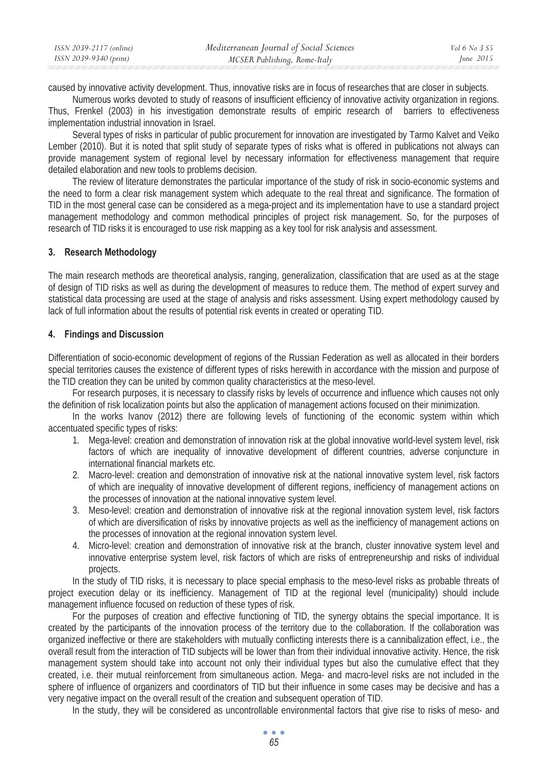| ISSN 2039-2117 (online) | Mediterranean Journal of Social Sciences | Vol 6 No 3 S5 |
|-------------------------|------------------------------------------|---------------|
| ISSN 2039-9340 (print)  | MCSER Publishing, Rome-Italy             | June 2015     |

caused by innovative activity development. Thus, innovative risks are in focus of researches that are closer in subjects.

Numerous works devoted to study of reasons of insufficient efficiency of innovative activity organization in regions. Thus, Frenkel (2003) in his investigation demonstrate results of empiric research of barriers to effectiveness implementation industrial innovation in Israel.

Several types of risks in particular of public procurement for innovation are investigated by Tarmo Kalvet and Veiko Lember (2010). But it is noted that split study of separate types of risks what is offered in publications not always can provide management system of regional level by necessary information for effectiveness management that require detailed elaboration and new tools to problems decision.

The review of literature demonstrates the particular importance of the study of risk in socio-economic systems and the need to form a clear risk management system which adequate to the real threat and significance. The formation of TID in the most general case can be considered as a mega-project and its implementation have to use a standard project management methodology and common methodical principles of project risk management. So, for the purposes of research of TID risks it is encouraged to use risk mapping as a key tool for risk analysis and assessment.

#### **3. Research Methodology**

The main research methods are theoretical analysis, ranging, generalization, classification that are used as at the stage of design of TID risks as well as during the development of measures to reduce them. The method of expert survey and statistical data processing are used at the stage of analysis and risks assessment. Using expert methodology caused by lack of full information about the results of potential risk events in created or operating TID.

#### **4. Findings and Discussion**

Differentiation of socio-economic development of regions of the Russian Federation as well as allocated in their borders special territories causes the existence of different types of risks herewith in accordance with the mission and purpose of the TID creation they can be united by common quality characteristics at the meso-level.

For research purposes, it is necessary to classify risks by levels of occurrence and influence which causes not only the definition of risk localization points but also the application of management actions focused on their minimization.

In the works Ivanov (2012) there are following levels of functioning of the economic system within which accentuated specific types of risks:

- 1. Mega-level: creation and demonstration of innovation risk at the global innovative world-level system level, risk factors of which are inequality of innovative development of different countries, adverse conjuncture in international financial markets etc.
- 2. Macro-level: creation and demonstration of innovative risk at the national innovative system level, risk factors of which are inequality of innovative development of different regions, inefficiency of management actions on the processes of innovation at the national innovative system level.
- 3. Meso-level: creation and demonstration of innovative risk at the regional innovation system level, risk factors of which are diversification of risks by innovative projects as well as the inefficiency of management actions on the processes of innovation at the regional innovation system level.
- 4. Micro-level: creation and demonstration of innovative risk at the branch, cluster innovative system level and innovative enterprise system level, risk factors of which are risks of entrepreneurship and risks of individual projects.

In the study of TID risks, it is necessary to place special emphasis to the meso-level risks as probable threats of project execution delay or its inefficiency. Management of TID at the regional level (municipality) should include management influence focused on reduction of these types of risk.

For the purposes of creation and effective functioning of TID, the synergy obtains the special importance. It is created by the participants of the innovation process of the territory due to the collaboration. If the collaboration was organized ineffective or there are stakeholders with mutually conflicting interests there is a cannibalization effect, i.e., the overall result from the interaction of TID subjects will be lower than from their individual innovative activity. Hence, the risk management system should take into account not only their individual types but also the cumulative effect that they created, i.e. their mutual reinforcement from simultaneous action. Mega- and macro-level risks are not included in the sphere of influence of organizers and coordinators of TID but their influence in some cases may be decisive and has a very negative impact on the overall result of the creation and subsequent operation of TID.

In the study, they will be considered as uncontrollable environmental factors that give rise to risks of meso- and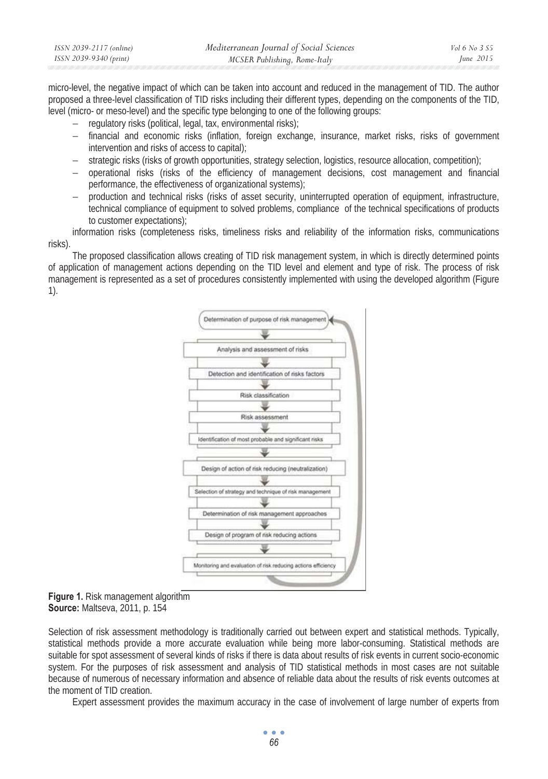| ISSN 2039-2117 (online) | Mediterranean Journal of Social Sciences | Vol 6 No 3 S5 |
|-------------------------|------------------------------------------|---------------|
| ISSN 2039-9340 (print)  | MCSER Publishing, Rome-Italy             | June $2015$   |

micro-level, the negative impact of which can be taken into account and reduced in the management of TID. The author proposed a three-level classification of TID risks including their different types, depending on the components of the TID, level (micro- or meso-level) and the specific type belonging to one of the following groups:

- − regulatory risks (political, legal, tax, environmental risks);
- financial and economic risks (inflation, foreign exchange, insurance, market risks, risks of government intervention and risks of access to capital);
- strategic risks (risks of growth opportunities, strategy selection, logistics, resource allocation, competition);
- − operational risks (risks of the efficiency of management decisions, cost management and financial performance, the effectiveness of organizational systems);
- − production and technical risks (risks of asset security, uninterrupted operation of equipment, infrastructure, technical compliance of equipment to solved problems, compliance of the technical specifications of products to customer expectations);

information risks (completeness risks, timeliness risks and reliability of the information risks, communications risks).

The proposed classification allows creating of TID risk management system, in which is directly determined points of application of management actions depending on the TID level and element and type of risk. The process of risk management is represented as a set of procedures consistently implemented with using the developed algorithm (Figure 1).



**Figure 1.** Risk management algorithm **Source:** Maltseva, 2011, p. 154

Selection of risk assessment methodology is traditionally carried out between expert and statistical methods. Typically, statistical methods provide a more accurate evaluation while being more labor-consuming. Statistical methods are suitable for spot assessment of several kinds of risks if there is data about results of risk events in current socio-economic system. For the purposes of risk assessment and analysis of TID statistical methods in most cases are not suitable because of numerous of necessary information and absence of reliable data about the results of risk events outcomes at the moment of TID creation.

Expert assessment provides the maximum accuracy in the case of involvement of large number of experts from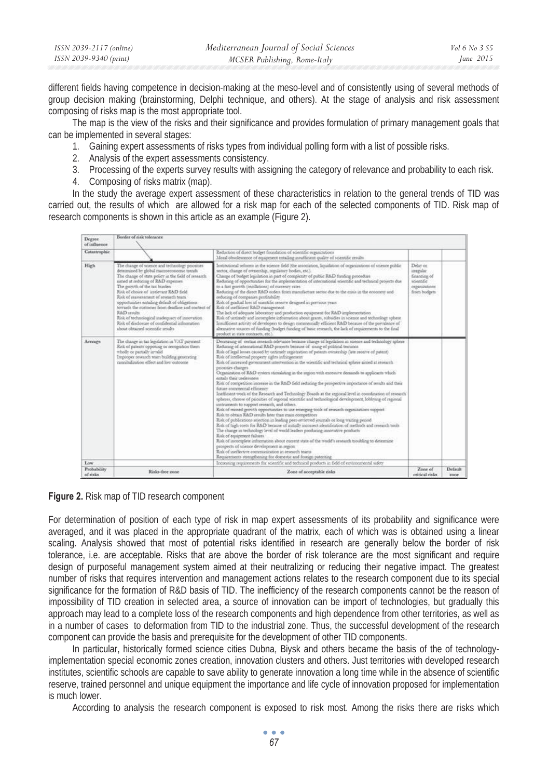| ISSN 2039-2117 (online) | Mediterranean Journal of Social Sciences | <i>Vol</i> 6 No 3 S5 |
|-------------------------|------------------------------------------|----------------------|
| ISSN 2039-9340 (print)  | MCSER Publishing, Rome-Italy             | June $2015$          |

different fields having competence in decision-making at the meso-level and of consistently using of several methods of group decision making (brainstorming, Delphi technique, and others). At the stage of analysis and risk assessment composing of risks map is the most appropriate tool.

The map is the view of the risks and their significance and provides formulation of primary management goals that can be implemented in several stages:

- 1. Gaining expert assessments of risks types from individual polling form with a list of possible risks.
- 2. Analysis of the expert assessments consistency.
- 3. Processing of the experts survey results with assigning the category of relevance and probability to each risk.
- 4. Composing of risks matrix (map).

In the study the average expert assessment of these characteristics in relation to the general trends of TID was carried out, the results of which are allowed for a risk map for each of the selected components of TID. Risk map of research components is shown in this article as an example (Figure 2).

| Degree<br>of influence. | Border of eitk tolerance                                                                                                                                                                                                                                                                                                                                                                                                                                                                                                                                                     |                                                                                                                                                                                                                                                                                                                                                                                                                                                                                                                                                                                                                                                                                                                                                                                                                                                                                                                                                                                                                                                                                                                                                                                                                                                                                                                                                                                                                                                                                                                                                                                                                                                                                                                                                                                     |                                                                                     |         |
|-------------------------|------------------------------------------------------------------------------------------------------------------------------------------------------------------------------------------------------------------------------------------------------------------------------------------------------------------------------------------------------------------------------------------------------------------------------------------------------------------------------------------------------------------------------------------------------------------------------|-------------------------------------------------------------------------------------------------------------------------------------------------------------------------------------------------------------------------------------------------------------------------------------------------------------------------------------------------------------------------------------------------------------------------------------------------------------------------------------------------------------------------------------------------------------------------------------------------------------------------------------------------------------------------------------------------------------------------------------------------------------------------------------------------------------------------------------------------------------------------------------------------------------------------------------------------------------------------------------------------------------------------------------------------------------------------------------------------------------------------------------------------------------------------------------------------------------------------------------------------------------------------------------------------------------------------------------------------------------------------------------------------------------------------------------------------------------------------------------------------------------------------------------------------------------------------------------------------------------------------------------------------------------------------------------------------------------------------------------------------------------------------------------|-------------------------------------------------------------------------------------|---------|
| Cataxtrophic            |                                                                                                                                                                                                                                                                                                                                                                                                                                                                                                                                                                              | Reduction of direct budget foundation of scientific organizations<br>Moral obsolescence of equipment establist multicient quality of scientific results                                                                                                                                                                                                                                                                                                                                                                                                                                                                                                                                                                                                                                                                                                                                                                                                                                                                                                                                                                                                                                                                                                                                                                                                                                                                                                                                                                                                                                                                                                                                                                                                                             |                                                                                     |         |
| High                    | The change of science and technology poonties<br>determined by global macroeconomic trends.<br>The change of state policy in the field of sesearch.<br>aimed at reducing of R&D expenses<br>The growth of the tax burden<br>Risk of choice of intelevant R&D field.<br>Risk of reassessment of research team.<br>opportunities entailing default of obligations<br>towards the customer from deadline and context of<br>R&D neudta<br>Risk of technological inadequacy of innovation.<br>Risk of disclosure of confidential information<br>about obtained scientific results | Institutional reforms in the science field (the association, Squidation of organizations of science public<br>sector, change of ownership, regulatory bodies, etc.).<br>Change of budget legislation in part of completity of public R&D funding procedure<br>Reducing of opportunities for the implementation of international scientific and technical projects due<br>to a fast growth (oscillations) of currency rates<br>Reducing of the direct R&D orders from manufacture sector due to the ensis in the economy and<br>reducing of companies profitability<br>Rak of gradual loss of scientific reserve designed in pervious years<br>Risk of inefficient RAD management.<br>The lack of adequate laboratory and production equapment for R&D implementation<br>Rok of untimely and incomplete information about grants, subsidies in science and technology sphere<br>Insufficient activity of developers to design commercially efficient R&D because of the portulence of<br>alternative sources of funding (budget funding of basic research, the lack of requirements to the final<br>product in state contracts, etc.).                                                                                                                                                                                                                                                                                                                                                                                                                                                                                                                                                                                                                                               | Delay or<br>inveslar<br>Enancing of<br>scientific<br>organizations<br>from budgets. |         |
| Avecage                 | The change in tax legislation in VAT payment<br>Risk of patents oppoting or recognition them<br>wholly or partially invalid.<br>Improper revearch team building generating<br>cannibalization effect and low outcome.                                                                                                                                                                                                                                                                                                                                                        | Decreasing of ontain research relevance because change of legislation in science and technology sphere<br>Reducing of international RAD projects because of sining of political temions.<br>Risk of legal losses caused by untimely registration of patents ownership (late receive of patent)<br>Risk of intellectual property sights infringement<br>Risk of increased government intervention in the scientific and technical sphere aimed at research<br>poonties changes<br>Organization of R&D system stimulating in the segion with excessive demands to applicants which<br>estals their uselessness.<br>Risk of competition increase in the R&D field seducing the prospective importance of results and their<br>future commercial efficiency<br>Inefficient work of the Research and Technology Boards at the regional level in coordination of research<br>spheres, choose of priceities of regional scientific and technological development, lobbying of regional<br>untruments to support research, and others.<br>Risk of missed growth opportunities to use emerging tools of research organizations support<br>Risk to obtain R&D results later than main competitors<br>Risk of publications rejection in leading peer-seviewed journals or long waiting pened<br>Rok of high costs for R&D because of initially incorrect identification of methods and research tools<br>The change in technology level of world leaders producing innovative products<br>Risk of equipment falures.<br>Risk of incomplete information about current state of the world's research troubling to determine<br>prospects of science development in region<br>Rak of ineffective communication in research teams<br>Requirements strengthening for domestic and foreign patenting |                                                                                     |         |
| Low<br>Probability      |                                                                                                                                                                                                                                                                                                                                                                                                                                                                                                                                                                              | Increasing requirements for scientific and technical products in field of environmental safety                                                                                                                                                                                                                                                                                                                                                                                                                                                                                                                                                                                                                                                                                                                                                                                                                                                                                                                                                                                                                                                                                                                                                                                                                                                                                                                                                                                                                                                                                                                                                                                                                                                                                      | Zone of                                                                             | Default |
| of risks.               | Risks-free zone                                                                                                                                                                                                                                                                                                                                                                                                                                                                                                                                                              | Zone of acceptable risks                                                                                                                                                                                                                                                                                                                                                                                                                                                                                                                                                                                                                                                                                                                                                                                                                                                                                                                                                                                                                                                                                                                                                                                                                                                                                                                                                                                                                                                                                                                                                                                                                                                                                                                                                            | critical risks                                                                      | zone    |

**Figure 2.** Risk map of TID research component

For determination of position of each type of risk in map expert assessments of its probability and significance were averaged, and it was placed in the appropriate quadrant of the matrix, each of which was is obtained using a linear scaling. Analysis showed that most of potential risks identified in research are generally below the border of risk tolerance, i.e. are acceptable. Risks that are above the border of risk tolerance are the most significant and require design of purposeful management system aimed at their neutralizing or reducing their negative impact. The greatest number of risks that requires intervention and management actions relates to the research component due to its special significance for the formation of R&D basis of TID. The inefficiency of the research components cannot be the reason of impossibility of TID creation in selected area, a source of innovation can be import of technologies, but gradually this approach may lead to a complete loss of the research components and high dependence from other territories, as well as in a number of cases to deformation from TID to the industrial zone. Thus, the successful development of the research component can provide the basis and prerequisite for the development of other TID components.

In particular, historically formed science cities Dubna, Biysk and others became the basis of the of technologyimplementation special economic zones creation, innovation clusters and others. Just territories with developed research institutes, scientific schools are capable to save ability to generate innovation a long time while in the absence of scientific reserve, trained personnel and unique equipment the importance and life cycle of innovation proposed for implementation is much lower.

According to analysis the research component is exposed to risk most. Among the risks there are risks which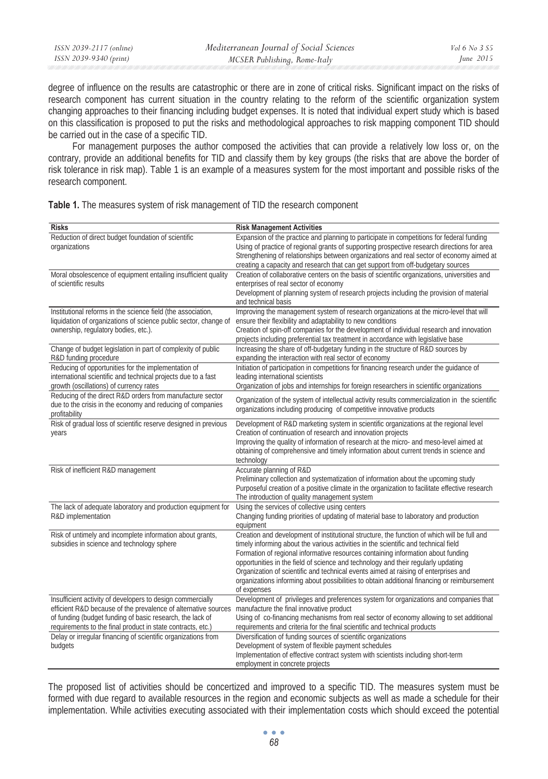| ISSN 2039-2117 (online) | Mediterranean Journal of Social Sciences | Vol 6 No 3 S5 |
|-------------------------|------------------------------------------|---------------|
| ISSN 2039-9340 (print)  | MCSER Publishing, Rome-Italy             | June 2015     |
|                         |                                          |               |

degree of influence on the results are catastrophic or there are in zone of critical risks. Significant impact on the risks of research component has current situation in the country relating to the reform of the scientific organization system changing approaches to their financing including budget expenses. It is noted that individual expert study which is based on this classification is proposed to put the risks and methodological approaches to risk mapping component TID should be carried out in the case of a specific TID.

For management purposes the author composed the activities that can provide a relatively low loss or, on the contrary, provide an additional benefits for TID and classify them by key groups (the risks that are above the border of risk tolerance in risk map). Table 1 is an example of a measures system for the most important and possible risks of the research component.

| Table 1. The measures system of risk management of TID the research component |
|-------------------------------------------------------------------------------|
|-------------------------------------------------------------------------------|

| <b>Risks</b>                                                                                                         | <b>Risk Management Activities</b>                                                                                                                                                  |
|----------------------------------------------------------------------------------------------------------------------|------------------------------------------------------------------------------------------------------------------------------------------------------------------------------------|
| Reduction of direct budget foundation of scientific                                                                  | Expansion of the practice and planning to participate in competitions for federal funding                                                                                          |
| organizations                                                                                                        | Using of practice of regional grants of supporting prospective research directions for area                                                                                        |
|                                                                                                                      | Strengthening of relationships between organizations and real sector of economy aimed at                                                                                           |
|                                                                                                                      | creating a capacity and research that can get support from off-budgetary sources                                                                                                   |
| Moral obsolescence of equipment entailing insufficient quality                                                       | Creation of collaborative centers on the basis of scientific organizations, universities and                                                                                       |
| of scientific results                                                                                                | enterprises of real sector of economy                                                                                                                                              |
|                                                                                                                      | Development of planning system of research projects including the provision of material                                                                                            |
|                                                                                                                      | and technical basis                                                                                                                                                                |
| Institutional reforms in the science field (the association,                                                         | Improving the management system of research organizations at the micro-level that will                                                                                             |
| liquidation of organizations of science public sector, change of                                                     | ensure their flexibility and adaptability to new conditions                                                                                                                        |
| ownership, regulatory bodies, etc.).                                                                                 | Creation of spin-off companies for the development of individual research and innovation                                                                                           |
|                                                                                                                      | projects including preferential tax treatment in accordance with legislative base                                                                                                  |
| Change of budget legislation in part of complexity of public                                                         | Increasing the share of off-budgetary funding in the structure of R&D sources by                                                                                                   |
| R&D funding procedure                                                                                                | expanding the interaction with real sector of economy                                                                                                                              |
| Reducing of opportunities for the implementation of<br>international scientific and technical projects due to a fast | Initiation of participation in competitions for financing research under the quidance of                                                                                           |
|                                                                                                                      | leading international scientists                                                                                                                                                   |
| growth (oscillations) of currency rates<br>Reducing of the direct R&D orders from manufacture sector                 | Organization of jobs and internships for foreign researchers in scientific organizations                                                                                           |
| due to the crisis in the economy and reducing of companies                                                           | Organization of the system of intellectual activity results commercialization in the scientific                                                                                    |
| profitability                                                                                                        | organizations including producing of competitive innovative products                                                                                                               |
| Risk of gradual loss of scientific reserve designed in previous                                                      | Development of R&D marketing system in scientific organizations at the regional level                                                                                              |
| years                                                                                                                | Creation of continuation of research and innovation projects                                                                                                                       |
|                                                                                                                      | Improving the quality of information of research at the micro- and meso-level aimed at                                                                                             |
|                                                                                                                      | obtaining of comprehensive and timely information about current trends in science and                                                                                              |
|                                                                                                                      | technology                                                                                                                                                                         |
| Risk of inefficient R&D management                                                                                   | Accurate planning of R&D                                                                                                                                                           |
|                                                                                                                      | Preliminary collection and systematization of information about the upcoming study                                                                                                 |
|                                                                                                                      | Purposeful creation of a positive climate in the organization to facilitate effective research                                                                                     |
|                                                                                                                      | The introduction of quality management system                                                                                                                                      |
| The lack of adequate laboratory and production equipment for                                                         | Using the services of collective using centers                                                                                                                                     |
| R&D implementation                                                                                                   | Changing funding priorities of updating of material base to laboratory and production                                                                                              |
|                                                                                                                      | equipment                                                                                                                                                                          |
| Risk of untimely and incomplete information about grants,                                                            | Creation and development of institutional structure, the function of which will be full and                                                                                        |
| subsidies in science and technology sphere                                                                           | timely informing about the various activities in the scientific and technical field                                                                                                |
|                                                                                                                      | Formation of regional informative resources containing information about funding                                                                                                   |
|                                                                                                                      | opportunities in the field of science and technology and their regularly updating                                                                                                  |
|                                                                                                                      | Organization of scientific and technical events aimed at raising of enterprises and<br>organizations informing about possibilities to obtain additional financing or reimbursement |
|                                                                                                                      | of expenses                                                                                                                                                                        |
| Insufficient activity of developers to design commercially                                                           | Development of privileges and preferences system for organizations and companies that                                                                                              |
| efficient R&D because of the prevalence of alternative sources                                                       | manufacture the final innovative product                                                                                                                                           |
| of funding (budget funding of basic research, the lack of                                                            | Using of co-financing mechanisms from real sector of economy allowing to set additional                                                                                            |
| requirements to the final product in state contracts, etc.)                                                          | requirements and criteria for the final scientific and technical products                                                                                                          |
| Delay or irregular financing of scientific organizations from                                                        | Diversification of funding sources of scientific organizations                                                                                                                     |
| budgets                                                                                                              | Development of system of flexible payment schedules                                                                                                                                |
|                                                                                                                      | Implementation of effective contract system with scientists including short-term                                                                                                   |
|                                                                                                                      | employment in concrete projects                                                                                                                                                    |

The proposed list of activities should be concertized and improved to a specific TID. The measures system must be formed with due regard to available resources in the region and economic subjects as well as made a schedule for their implementation. While activities executing associated with their implementation costs which should exceed the potential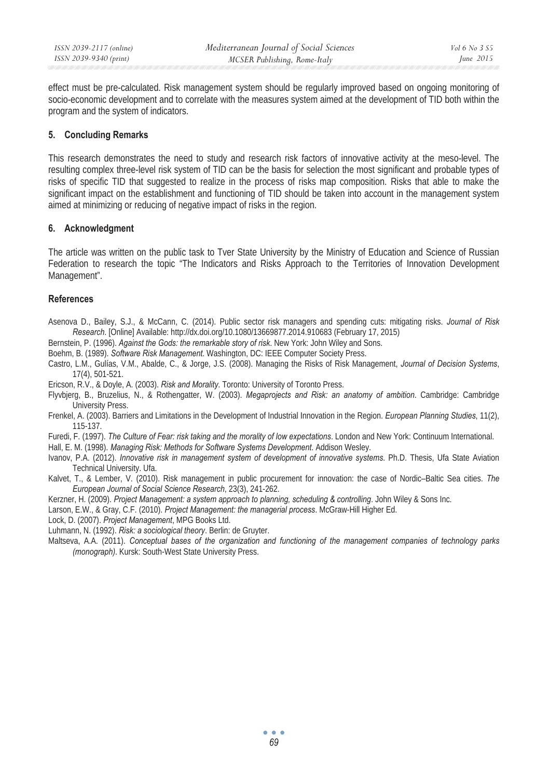effect must be pre-calculated. Risk management system should be regularly improved based on ongoing monitoring of socio-economic development and to correlate with the measures system aimed at the development of TID both within the program and the system of indicators.

#### **5. Concluding Remarks**

This research demonstrates the need to study and research risk factors of innovative activity at the meso-level. The resulting complex three-level risk system of TID can be the basis for selection the most significant and probable types of risks of specific TID that suggested to realize in the process of risks map composition. Risks that able to make the significant impact on the establishment and functioning of TID should be taken into account in the management system aimed at minimizing or reducing of negative impact of risks in the region.

## **6. Acknowledgment**

The article was written on the public task to Tver State University by the Ministry of Education and Science of Russian Federation to research the topic "The Indicators and Risks Approach to the Territories of Innovation Development Management".

## **References**

- Asenova D., Bailey, S.J., & McCann, C. (2014). Public sector risk managers and spending cuts: mitigating risks. *Journal of Risk Research*. [Online] Available: http://dx.doi.org/10.1080/13669877.2014.910683 (February 17, 2015)
- Bernstein, P. (1996). *Against the Gods: the remarkable story of risk*. New York: John Wiley and Sons.
- Boehm, B. (1989). *Software Risk Management*. Washington, DC: IEEE Computer Society Press.
- Castro, L.M., Gulías, V.M., Abalde, C., & Jorge, J.S. (2008). Managing the Risks of Risk Management, *Journal of Decision Systems*, 17(4), 501-521.
- Ericson, R.V., & Doyle, A. (2003). *Risk and Morality*. Toronto: University of Toronto Press.
- Flyvbjerg, B., Bruzelius, N., & Rothengatter, W. (2003). *Megaprojects and Risk: an anatomy of ambition*. Cambridge: Cambridge University Press.
- Frenkel, A. (2003). Barriers and Limitations in the Development of Industrial Innovation in the Region. *European Planning Studies*, 11(2), 115-137.
- Furedi, F. (1997). *The Culture of Fear: risk taking and the morality of low expectations*. London and New York: Continuum International.
- Hall, E. M. (1998). *Managing Risk: Methods for Software Systems Development*. Addison Wesley.
- Ivanov, P.A. (2012). *Innovative risk in management system of development of innovative systems*. Ph.D. Thesis, Ufa State Aviation Technical University. Ufa.
- Kalvet, T., & Lember, V. (2010). Risk management in public procurement for innovation: the case of Nordic–Baltic Sea cities. *The European Journal of Social Science Research*, 23(3), 241-262.
- Kerzner, H. (2009). *Project Management: a system approach to planning, scheduling & controlling*. John Wiley & Sons Inc.
- Larson, E.W., & Gray, C.F. (2010). *Project Management: the managerial process*. McGraw-Hill Higher Ed.
- Lock, D. (2007). *Project Management*, MPG Books Ltd.
- Luhmann, N. (1992). *Risk: a sociological theory*. Berlin: de Gruyter.
- Maltseva, A.A. (2011). *Conceptual bases of the organization and functioning of the management companies of technology parks (monograph)*. Kursk: South-West State University Press.